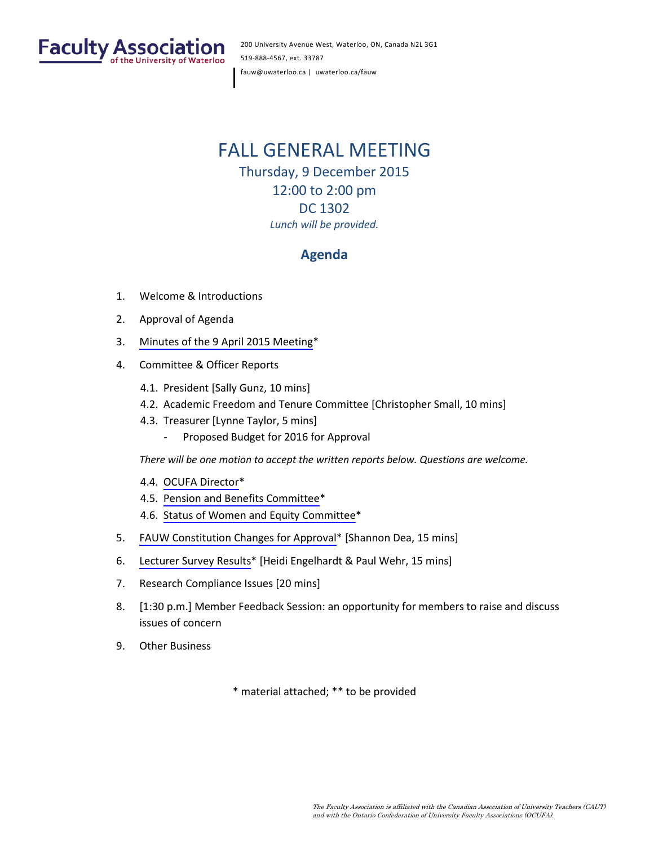

200 University Avenue West, Waterloo, ON, Canada N2L 3G1 519-888-4567, ext. 33787 fauw@uwaterloo.ca | uwaterloo.ca/fauw

# FALL GENERAL MEETING Thursday, 9 December 2015

12:00 to 2:00 pm DC 1302 *Lunch will be provided.*

# **Agenda**

- 1. Welcome & Introductions
- 2. Approval of Agenda
- 3. [Minutes of the 9 April](#page-1-0) 2015 Meeting\*
- 4. Committee & Officer Reports
	- 4.1. President [Sally Gunz, 10 mins]
	- 4.2. Academic Freedom and Tenure Committee [Christopher Small, 10 mins]
	- 4.3. Treasurer [Lynne Taylor, 5 mins]
		- Proposed Budget for 2016 for Approval

*There will be one motion to accept the written reports below. Questions are welcome.*

- 4.4. [OCUFA Director\\*](#page-5-0)
- 4.5. [Pension and Benefits Committee](#page-8-0)\*
- 4.6. [Status of Women and Equity Committee](#page-9-0)\*
- 5. [FAUW Constitution Changes](#page-12-0) for Approval\* [Shannon Dea, 15 mins]
- 6. [Lecturer Survey Results](#page-21-0)\* [Heidi Engelhardt & Paul Wehr, 15 mins]
- 7. Research Compliance Issues [20 mins]
- 8. [1:30 p.m.] Member Feedback Session: an opportunity for members to raise and discuss issues of concern
- 9. Other Business

\* material attached; \*\* to be provided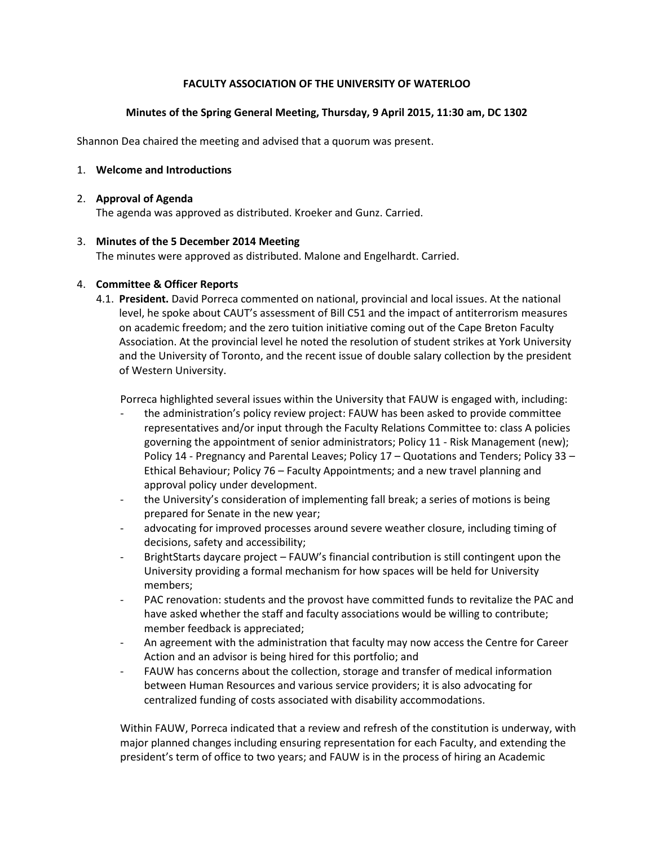# **FACULTY ASSOCIATION OF THE UNIVERSITY OF WATERLOO**

### **Minutes of the Spring General Meeting, Thursday, 9 April 2015, 11:30 am, DC 1302**

<span id="page-1-0"></span>Shannon Dea chaired the meeting and advised that a quorum was present.

### 1. **Welcome and Introductions**

### 2. **Approval of Agenda**

The agenda was approved as distributed. Kroeker and Gunz. Carried.

### 3. **Minutes of the 5 December 2014 Meeting**

The minutes were approved as distributed. Malone and Engelhardt. Carried.

### 4. **Committee & Officer Reports**

4.1. **President.** David Porreca commented on national, provincial and local issues. At the national level, he spoke about CAUT's assessment of Bill C51 and the impact of antiterrorism measures on academic freedom; and the zero tuition initiative coming out of the Cape Breton Faculty Association. At the provincial level he noted the resolution of student strikes at York University and the University of Toronto, and the recent issue of double salary collection by the president of Western University.

Porreca highlighted several issues within the University that FAUW is engaged with, including:

- the administration's policy review project: FAUW has been asked to provide committee representatives and/or input through the Faculty Relations Committee to: class A policies governing the appointment of senior administrators; Policy 11 - Risk Management (new); Policy 14 - Pregnancy and Parental Leaves; Policy 17 – Quotations and Tenders; Policy 33 – Ethical Behaviour; Policy 76 – Faculty Appointments; and a new travel planning and approval policy under development.
- the University's consideration of implementing fall break; a series of motions is being prepared for Senate in the new year;
- advocating for improved processes around severe weather closure, including timing of decisions, safety and accessibility;
- BrightStarts daycare project FAUW's financial contribution is still contingent upon the University providing a formal mechanism for how spaces will be held for University members;
- PAC renovation: students and the provost have committed funds to revitalize the PAC and have asked whether the staff and faculty associations would be willing to contribute; member feedback is appreciated;
- An agreement with the administration that faculty may now access the Centre for Career Action and an advisor is being hired for this portfolio; and
- FAUW has concerns about the collection, storage and transfer of medical information between Human Resources and various service providers; it is also advocating for centralized funding of costs associated with disability accommodations.

Within FAUW, Porreca indicated that a review and refresh of the constitution is underway, with major planned changes including ensuring representation for each Faculty, and extending the president's term of office to two years; and FAUW is in the process of hiring an Academic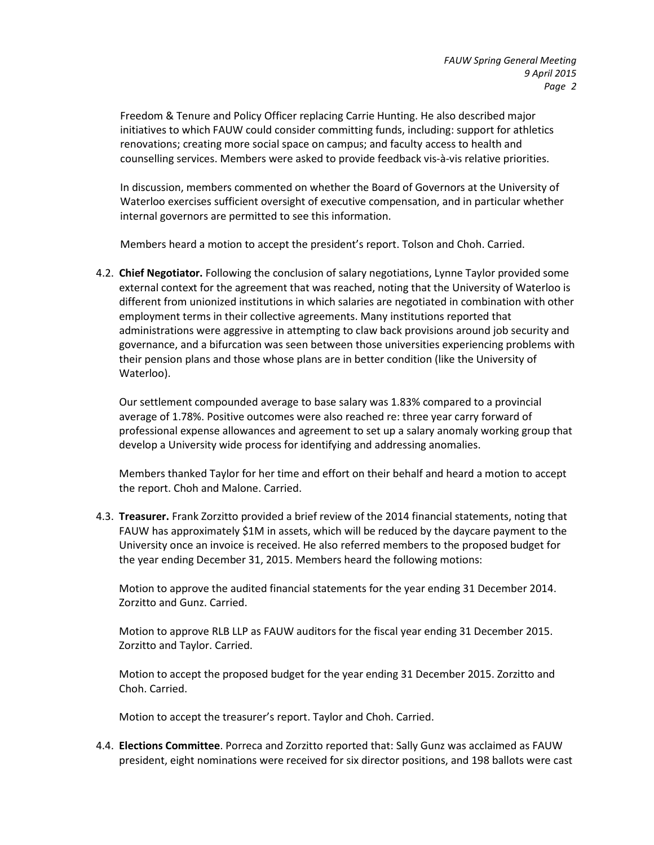Freedom & Tenure and Policy Officer replacing Carrie Hunting. He also described major initiatives to which FAUW could consider committing funds, including: support for athletics renovations; creating more social space on campus; and faculty access to health and counselling services. Members were asked to provide feedback vis-à-vis relative priorities.

In discussion, members commented on whether the Board of Governors at the University of Waterloo exercises sufficient oversight of executive compensation, and in particular whether internal governors are permitted to see this information.

Members heard a motion to accept the president's report. Tolson and Choh. Carried.

4.2. **Chief Negotiator.** Following the conclusion of salary negotiations, Lynne Taylor provided some external context for the agreement that was reached, noting that the University of Waterloo is different from unionized institutions in which salaries are negotiated in combination with other employment terms in their collective agreements. Many institutions reported that administrations were aggressive in attempting to claw back provisions around job security and governance, and a bifurcation was seen between those universities experiencing problems with their pension plans and those whose plans are in better condition (like the University of Waterloo).

Our settlement compounded average to base salary was 1.83% compared to a provincial average of 1.78%. Positive outcomes were also reached re: three year carry forward of professional expense allowances and agreement to set up a salary anomaly working group that develop a University wide process for identifying and addressing anomalies.

Members thanked Taylor for her time and effort on their behalf and heard a motion to accept the report. Choh and Malone. Carried.

4.3. **Treasurer.** Frank Zorzitto provided a brief review of the 2014 financial statements, noting that FAUW has approximately \$1M in assets, which will be reduced by the daycare payment to the University once an invoice is received. He also referred members to the proposed budget for the year ending December 31, 2015. Members heard the following motions:

Motion to approve the audited financial statements for the year ending 31 December 2014. Zorzitto and Gunz. Carried.

Motion to approve RLB LLP as FAUW auditors for the fiscal year ending 31 December 2015. Zorzitto and Taylor. Carried.

Motion to accept the proposed budget for the year ending 31 December 2015. Zorzitto and Choh. Carried.

Motion to accept the treasurer's report. Taylor and Choh. Carried.

4.4. **Elections Committee**. Porreca and Zorzitto reported that: Sally Gunz was acclaimed as FAUW president, eight nominations were received for six director positions, and 198 ballots were cast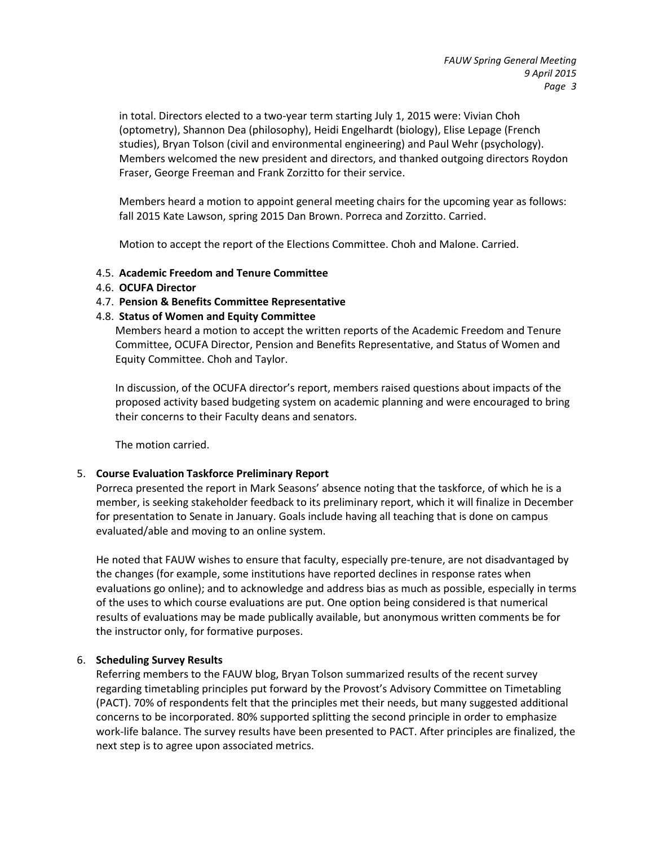in total. Directors elected to a two-year term starting July 1, 2015 were: Vivian Choh (optometry), Shannon Dea (philosophy), Heidi Engelhardt (biology), Elise Lepage (French studies), Bryan Tolson (civil and environmental engineering) and Paul Wehr (psychology). Members welcomed the new president and directors, and thanked outgoing directors Roydon Fraser, George Freeman and Frank Zorzitto for their service.

Members heard a motion to appoint general meeting chairs for the upcoming year as follows: fall 2015 Kate Lawson, spring 2015 Dan Brown. Porreca and Zorzitto. Carried.

Motion to accept the report of the Elections Committee. Choh and Malone. Carried.

### 4.5. **Academic Freedom and Tenure Committee**

### 4.6. **OCUFA Director**

### 4.7. **Pension & Benefits Committee Representative**

### 4.8. **Status of Women and Equity Committee**

Members heard a motion to accept the written reports of the Academic Freedom and Tenure Committee, OCUFA Director, Pension and Benefits Representative, and Status of Women and Equity Committee. Choh and Taylor.

In discussion, of the OCUFA director's report, members raised questions about impacts of the proposed activity based budgeting system on academic planning and were encouraged to bring their concerns to their Faculty deans and senators.

The motion carried.

### 5. **Course Evaluation Taskforce Preliminary Report**

Porreca presented the report in Mark Seasons' absence noting that the taskforce, of which he is a member, is seeking stakeholder feedback to its preliminary report, which it will finalize in December for presentation to Senate in January. Goals include having all teaching that is done on campus evaluated/able and moving to an online system.

He noted that FAUW wishes to ensure that faculty, especially pre-tenure, are not disadvantaged by the changes (for example, some institutions have reported declines in response rates when evaluations go online); and to acknowledge and address bias as much as possible, especially in terms of the uses to which course evaluations are put. One option being considered is that numerical results of evaluations may be made publically available, but anonymous written comments be for the instructor only, for formative purposes.

### 6. **Scheduling Survey Results**

Referring members to the FAUW blog, Bryan Tolson summarized results of the recent survey regarding timetabling principles put forward by the Provost's Advisory Committee on Timetabling (PACT). 70% of respondents felt that the principles met their needs, but many suggested additional concerns to be incorporated. 80% supported splitting the second principle in order to emphasize work-life balance. The survey results have been presented to PACT. After principles are finalized, the next step is to agree upon associated metrics.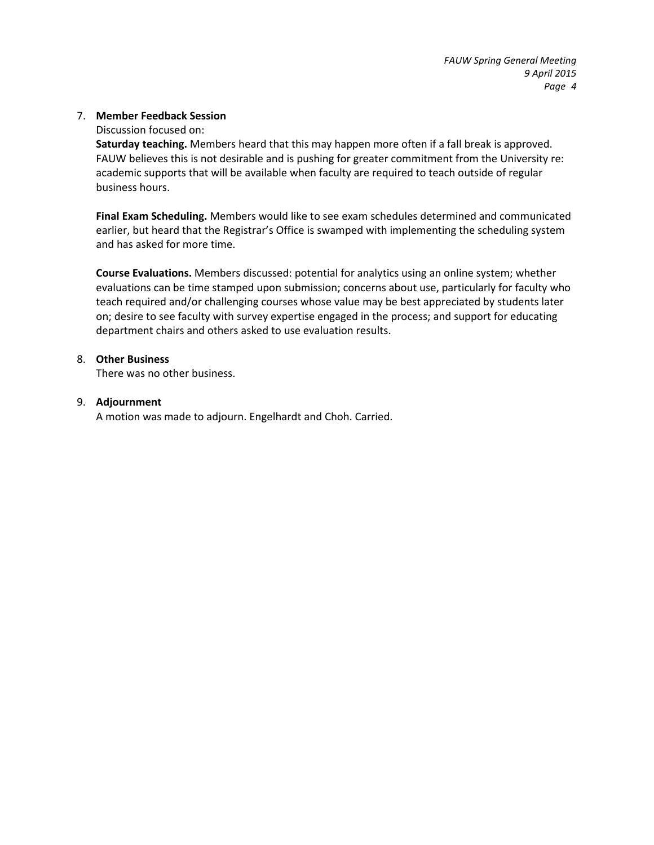### 7. **Member Feedback Session**

Discussion focused on:

**Saturday teaching.** Members heard that this may happen more often if a fall break is approved. FAUW believes this is not desirable and is pushing for greater commitment from the University re: academic supports that will be available when faculty are required to teach outside of regular business hours.

**Final Exam Scheduling.** Members would like to see exam schedules determined and communicated earlier, but heard that the Registrar's Office is swamped with implementing the scheduling system and has asked for more time.

**Course Evaluations.** Members discussed: potential for analytics using an online system; whether evaluations can be time stamped upon submission; concerns about use, particularly for faculty who teach required and/or challenging courses whose value may be best appreciated by students later on; desire to see faculty with survey expertise engaged in the process; and support for educating department chairs and others asked to use evaluation results.

### 8. **Other Business**

There was no other business.

### 9. **Adjournment**

A motion was made to adjourn. Engelhardt and Choh. Carried.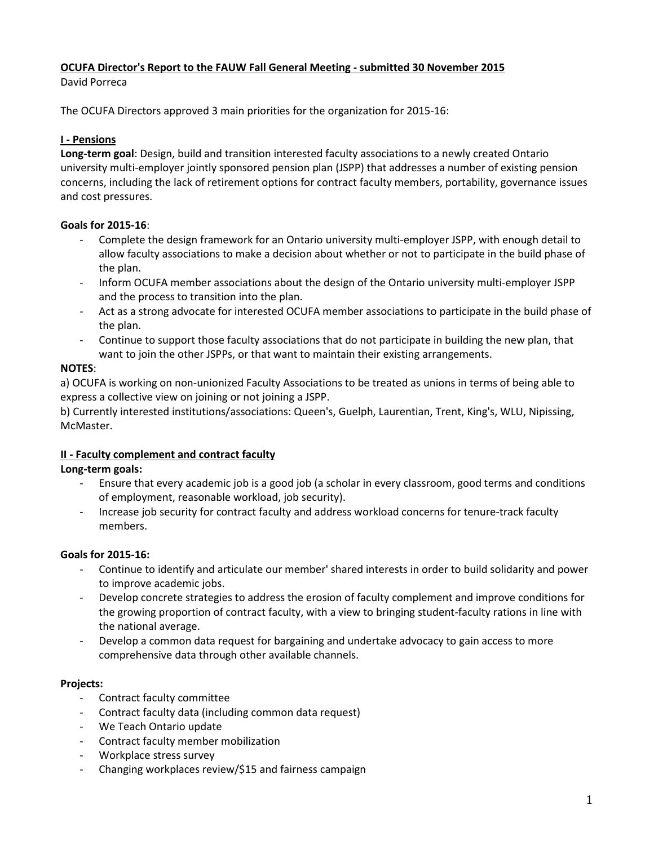# <span id="page-5-0"></span>**OCUFA Director's Report to the FAUW Fall General Meeting - submitted 30 November 2015**

David Porreca

The OCUFA Directors approved 3 main priorities for the organization for 2015-16:

# **I - Pensions**

**Long-term goal**: Design, build and transition interested faculty associations to a newly created Ontario university multi-employer jointly sponsored pension plan (JSPP) that addresses a number of existing pension concerns, including the lack of retirement options for contract faculty members, portability, governance issues and cost pressures.

# **Goals for 2015-16**:

- Complete the design framework for an Ontario university multi-employer JSPP, with enough detail to allow faculty associations to make a decision about whether or not to participate in the build phase of the plan.
- Inform OCUFA member associations about the design of the Ontario university multi-employer JSPP and the process to transition into the plan.
- Act as a strong advocate for interested OCUFA member associations to participate in the build phase of the plan.
- Continue to support those faculty associations that do not participate in building the new plan, that want to join the other JSPPs, or that want to maintain their existing arrangements.

# **NOTES**:

a) OCUFA is working on non-unionized Faculty Associations to be treated as unions in terms of being able to express a collective view on joining or not joining a JSPP.

b) Currently interested institutions/associations: Queen's, Guelph, Laurentian, Trent, King's, WLU, Nipissing, McMaster.

# **II - Faculty complement and contract faculty**

**Long-term goals:**

- Ensure that every academic job is a good job (a scholar in every classroom, good terms and conditions of employment, reasonable workload, job security).
- Increase job security for contract faculty and address workload concerns for tenure-track faculty members.

# **Goals for 2015-16:**

- Continue to identify and articulate our member' shared interests in order to build solidarity and power to improve academic jobs.
- Develop concrete strategies to address the erosion of faculty complement and improve conditions for the growing proportion of contract faculty, with a view to bringing student-faculty rations in line with the national average.
- Develop a common data request for bargaining and undertake advocacy to gain access to more comprehensive data through other available channels.

# **Projects:**

- Contract faculty committee
- Contract faculty data (including common data request)
- We Teach Ontario update
- Contract faculty member mobilization
- Workplace stress survey
- Changing workplaces review/\$15 and fairness campaign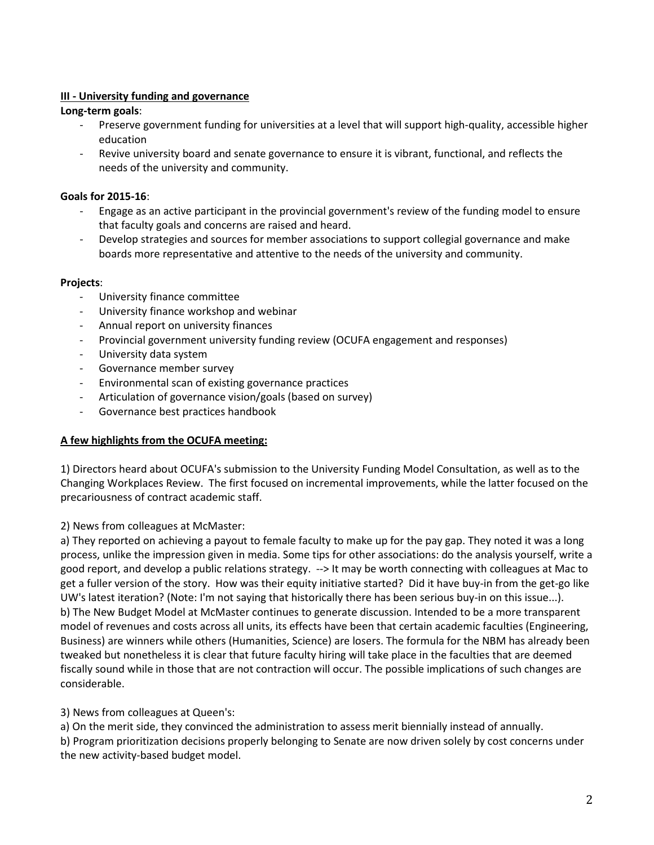# **III - University funding and governance**

# **Long-term goals**:

- Preserve government funding for universities at a level that will support high-quality, accessible higher education
- Revive university board and senate governance to ensure it is vibrant, functional, and reflects the needs of the university and community.

# **Goals for 2015-16**:

- Engage as an active participant in the provincial government's review of the funding model to ensure that faculty goals and concerns are raised and heard.
- Develop strategies and sources for member associations to support collegial governance and make boards more representative and attentive to the needs of the university and community.

# **Projects**:

- University finance committee
- University finance workshop and webinar
- Annual report on university finances
- Provincial government university funding review (OCUFA engagement and responses)
- University data system
- Governance member survey
- Environmental scan of existing governance practices
- Articulation of governance vision/goals (based on survey)
- Governance best practices handbook

# **A few highlights from the OCUFA meeting:**

1) Directors heard about OCUFA's submission to the University Funding Model Consultation, as well as to the Changing Workplaces Review. The first focused on incremental improvements, while the latter focused on the precariousness of contract academic staff.

2) News from colleagues at McMaster:

a) They reported on achieving a payout to female faculty to make up for the pay gap. They noted it was a long process, unlike the impression given in media. Some tips for other associations: do the analysis yourself, write a good report, and develop a public relations strategy. --> It may be worth connecting with colleagues at Mac to get a fuller version of the story. How was their equity initiative started? Did it have buy-in from the get-go like UW's latest iteration? (Note: I'm not saying that historically there has been serious buy-in on this issue...). b) The New Budget Model at McMaster continues to generate discussion. Intended to be a more transparent model of revenues and costs across all units, its effects have been that certain academic faculties (Engineering, Business) are winners while others (Humanities, Science) are losers. The formula for the NBM has already been tweaked but nonetheless it is clear that future faculty hiring will take place in the faculties that are deemed fiscally sound while in those that are not contraction will occur. The possible implications of such changes are considerable.

# 3) News from colleagues at Queen's:

a) On the merit side, they convinced the administration to assess merit biennially instead of annually.

b) Program prioritization decisions properly belonging to Senate are now driven solely by cost concerns under the new activity-based budget model.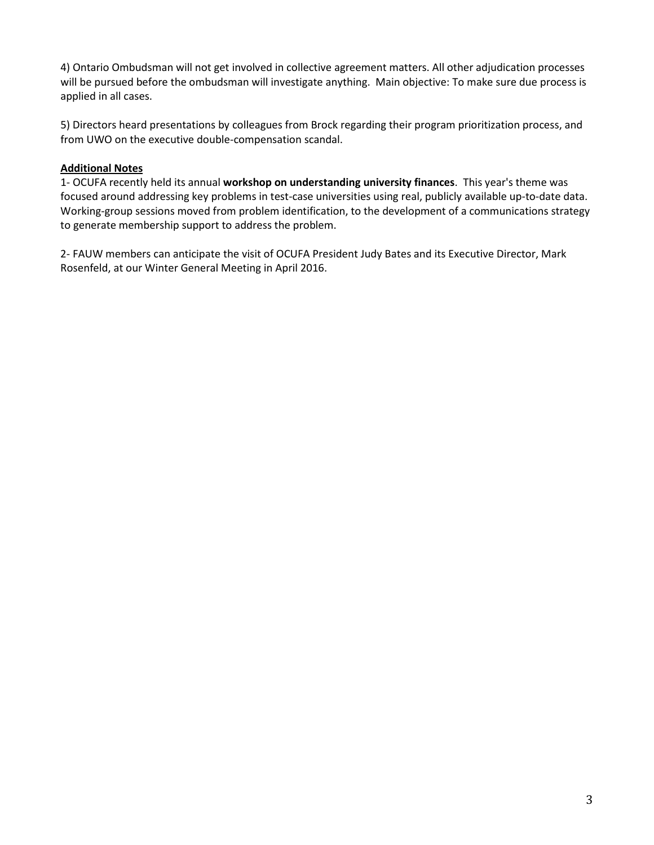4) Ontario Ombudsman will not get involved in collective agreement matters. All other adjudication processes will be pursued before the ombudsman will investigate anything. Main objective: To make sure due process is applied in all cases.

5) Directors heard presentations by colleagues from Brock regarding their program prioritization process, and from UWO on the executive double-compensation scandal.

# **Additional Notes**

1- OCUFA recently held its annual **workshop on understanding university finances**. This year's theme was focused around addressing key problems in test-case universities using real, publicly available up-to-date data. Working-group sessions moved from problem identification, to the development of a communications strategy to generate membership support to address the problem.

2- FAUW members can anticipate the visit of OCUFA President Judy Bates and its Executive Director, Mark Rosenfeld, at our Winter General Meeting in April 2016.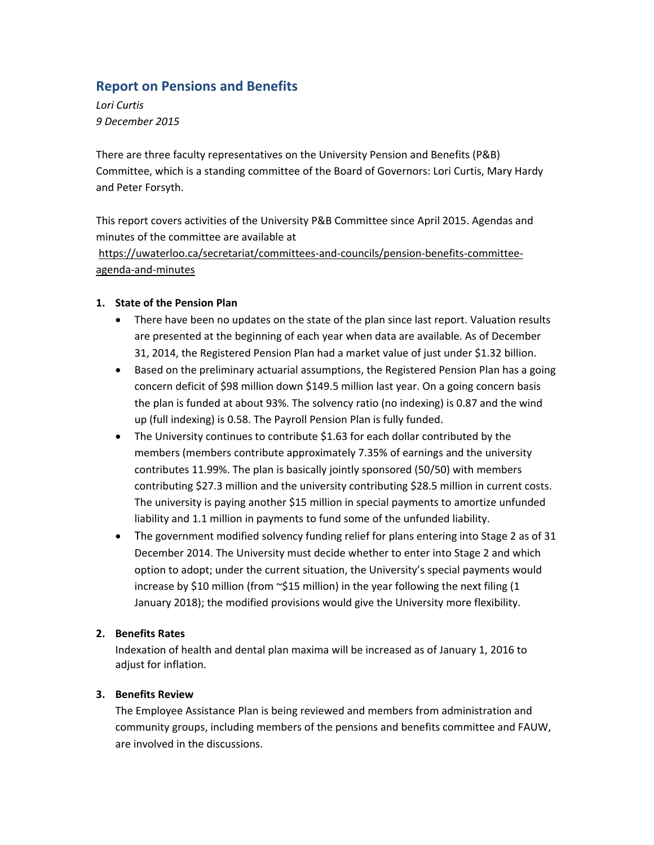# <span id="page-8-0"></span>**Report on Pensions and Benefits**

*Lori Curtis 9 December 2015*

There are three faculty representatives on the University Pension and Benefits (P&B) Committee, which is a standing committee of the Board of Governors: Lori Curtis, Mary Hardy and Peter Forsyth.

This report covers activities of the University P&B Committee since April 2015. Agendas and minutes of the committee are available at

https://uwaterloo.ca/secretariat/committees‐and‐councils/pension‐benefits‐committee‐ agenda‐and‐minutes

# **1. State of the Pension Plan**

- There have been no updates on the state of the plan since last report. Valuation results are presented at the beginning of each year when data are available. As of December 31, 2014, the Registered Pension Plan had a market value of just under \$1.32 billion.
- **•** Based on the preliminary actuarial assumptions, the Registered Pension Plan has a going concern deficit of \$98 million down \$149.5 million last year. On a going concern basis the plan is funded at about 93%. The solvency ratio (no indexing) is 0.87 and the wind up (full indexing) is 0.58. The Payroll Pension Plan is fully funded.
- The University continues to contribute \$1.63 for each dollar contributed by the members (members contribute approximately 7.35% of earnings and the university contributes 11.99%. The plan is basically jointly sponsored (50/50) with members contributing \$27.3 million and the university contributing \$28.5 million in current costs. The university is paying another \$15 million in special payments to amortize unfunded liability and 1.1 million in payments to fund some of the unfunded liability.
- The government modified solvency funding relief for plans entering into Stage 2 as of 31 December 2014. The University must decide whether to enter into Stage 2 and which option to adopt; under the current situation, the University's special payments would increase by \$10 million (from  $\sim$ \$15 million) in the year following the next filing (1 January 2018); the modified provisions would give the University more flexibility.

# **2. Benefits Rates**

Indexation of health and dental plan maxima will be increased as of January 1, 2016 to adjust for inflation.

### **3. Benefits Review**

The Employee Assistance Plan is being reviewed and members from administration and community groups, including members of the pensions and benefits committee and FAUW, are involved in the discussions.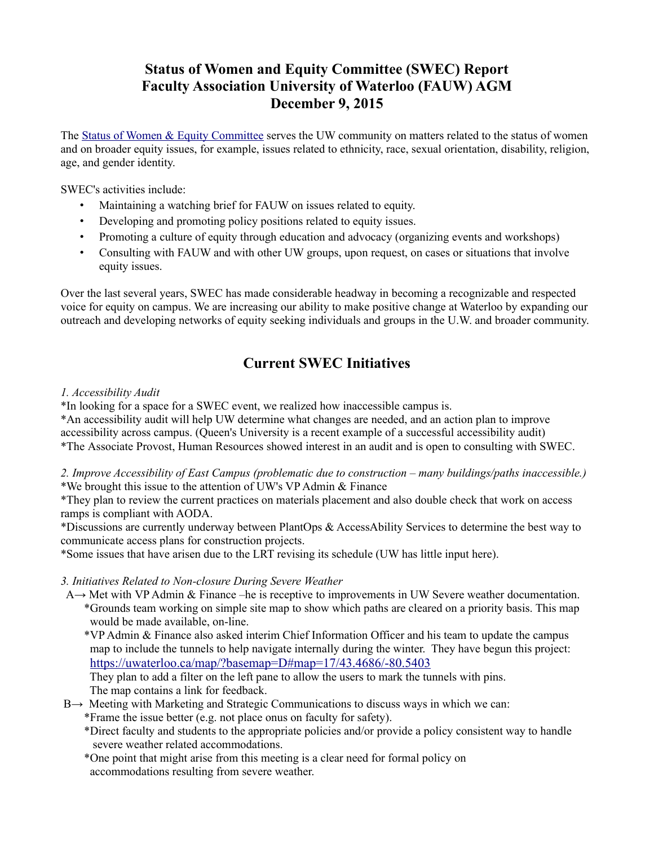# **Status of Women and Equity Committee (SWEC) Report Faculty Association University of Waterloo (FAUW) AGM December 9, 2015**

<span id="page-9-0"></span>The [Status of Women & Equity Committee](https://uwaterloo.ca/faculty-association/status-women-equity-committee) serves the UW community on matters related to the status of women and on broader equity issues, for example, issues related to ethnicity, race, sexual orientation, disability, religion, age, and gender identity.

SWEC's activities include:

- Maintaining a watching brief for FAUW on issues related to equity.
- Developing and promoting policy positions related to equity issues.
- Promoting a culture of equity through education and advocacy (organizing events and workshops)
- Consulting with FAUW and with other UW groups, upon request, on cases or situations that involve equity issues.

Over the last several years, SWEC has made considerable headway in becoming a recognizable and respected voice for equity on campus. We are increasing our ability to make positive change at Waterloo by expanding our outreach and developing networks of equity seeking individuals and groups in the U.W. and broader community.

# **Current SWEC Initiatives**

# *1. Accessibility Audit*

\*In looking for a space for a SWEC event, we realized how inaccessible campus is.

\*An accessibility audit will help UW determine what changes are needed, and an action plan to improve accessibility across campus. (Queen's University is a recent example of a successful accessibility audit) \*The Associate Provost, Human Resources showed interest in an audit and is open to consulting with SWEC.

*2. Improve Accessibility of East Campus (problematic due to construction – many buildings/paths inaccessible.)* \*We brought this issue to the attention of UW's VP Admin & Finance

\*They plan to review the current practices on materials placement and also double check that work on access ramps is compliant with AODA.

\*Discussions are currently underway between PlantOps & AccessAbility Services to determine the best way to communicate access plans for construction projects.

\*Some issues that have arisen due to the LRT revising its schedule (UW has little input here).

*3. Initiatives Related to Non-closure During Severe Weather*

- A→ Met with VP Admin & Finance –he is receptive to improvements in UW Severe weather documentation. \*Grounds team working on simple site map to show which paths are cleared on a priority basis. This map would be made available, on-line.
	- \*VP Admin & Finance also asked interim Chief Information Officer and his team to update the campus map to include the tunnels to help navigate internally during the winter. They have begun this project: [https://uwaterloo.ca/map/?basemap=D#map=17/43.4686/-80.5403](https://connect.uwaterloo.ca/owa/redir.aspx?SURL=sj6wAEGKUoJrp4CWLuXCiaGtDoWdcLMoR8ZSmFYXzQ6Ri5Qjfv_SCGgAdAB0AHAAcwA6AC8ALwB1AHcAYQB0AGUAcgBsAG8AbwAuAGMAYQAvAG0AYQBwAC8APwBiAGEAcwBlAG0AYQBwAD0ARAAjAG0AYQBwAD0AMQA3AC8ANAAzAC4ANAA2ADgANgAvAC0AOAAwAC4ANQA0ADAAMwA.&URL=https%3A%2F%2Fuwaterloo.ca%2Fmap%2F%3Fbasemap%3DD%23map%3D17%2F43.4686%2F-80.5403)

 They plan to add a filter on the left pane to allow the users to mark the tunnels with pins. The map contains a link for feedback.

- B→ Meeting with Marketing and Strategic Communications to discuss ways in which we can:
	- \*Frame the issue better (e.g. not place onus on faculty for safety).
	- \*Direct faculty and students to the appropriate policies and/or provide a policy consistent way to handle severe weather related accommodations.
	- \*One point that might arise from this meeting is a clear need for formal policy on accommodations resulting from severe weather.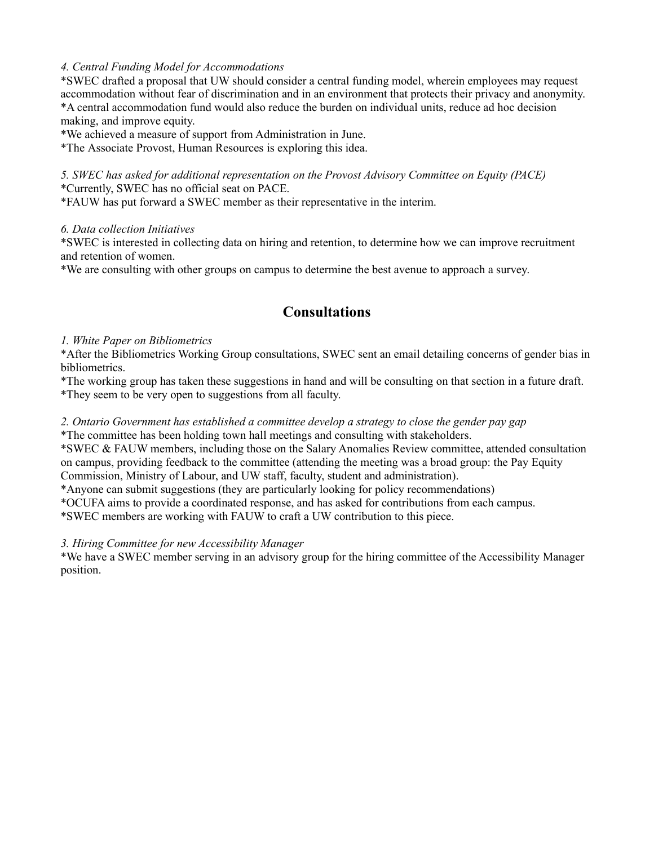# *4. Central Funding Model for Accommodations*

\*SWEC drafted a proposal that UW should consider a central funding model, wherein employees may request accommodation without fear of discrimination and in an environment that protects their privacy and anonymity. \*A central accommodation fund would also reduce the burden on individual units, reduce ad hoc decision making, and improve equity.

\*We achieved a measure of support from Administration in June.

\*The Associate Provost, Human Resources is exploring this idea.

## *5. SWEC has asked for additional representation on the Provost Advisory Committee on Equity (PACE)* \*Currently, SWEC has no official seat on PACE.

\*FAUW has put forward a SWEC member as their representative in the interim.

# *6. Data collection Initiatives*

\*SWEC is interested in collecting data on hiring and retention, to determine how we can improve recruitment and retention of women.

\*We are consulting with other groups on campus to determine the best avenue to approach a survey.

# **Consultations**

# *1. White Paper on Bibliometrics*

\*After the Bibliometrics Working Group consultations, SWEC sent an email detailing concerns of gender bias in bibliometrics.

\*The working group has taken these suggestions in hand and will be consulting on that section in a future draft.

\*They seem to be very open to suggestions from all faculty.

# *2. Ontario Government has established a committee develop a strategy to close the gender pay gap*

\*The committee has been holding town hall meetings and consulting with stakeholders.

\*SWEC & FAUW members, including those on the Salary Anomalies Review committee, attended consultation on campus, providing feedback to the committee (attending the meeting was a broad group: the Pay Equity Commission, Ministry of Labour, and UW staff, faculty, student and administration).

\*Anyone can submit suggestions (they are particularly looking for policy recommendations)

\*OCUFA aims to provide a coordinated response, and has asked for contributions from each campus.

\*SWEC members are working with FAUW to craft a UW contribution to this piece.

# *3. Hiring Committee for new Accessibility Manager*

\*We have a SWEC member serving in an advisory group for the hiring committee of the Accessibility Manager position.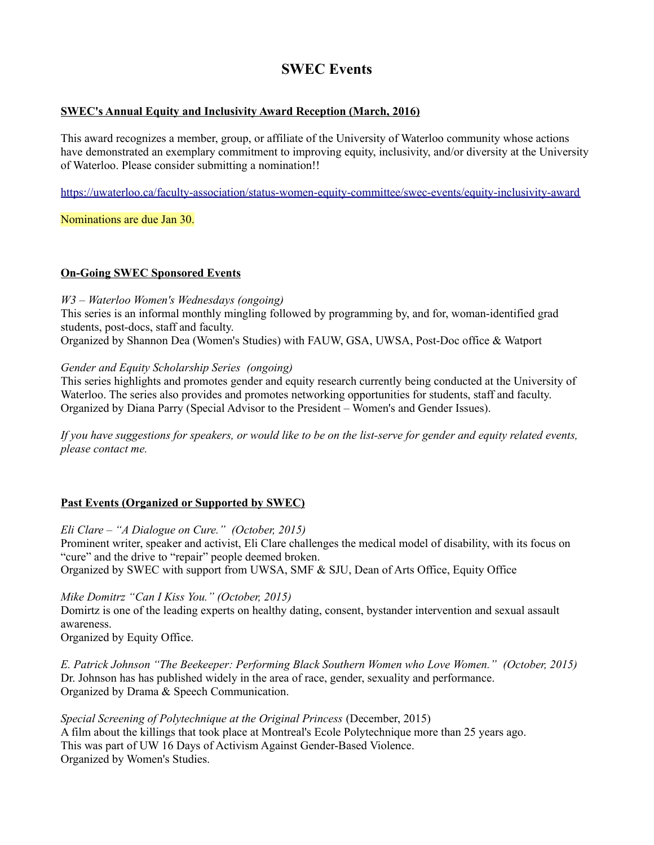# **SWEC Events**

# **SWEC's Annual Equity and Inclusivity Award Reception (March, 2016)**

This award recognizes a member, group, or affiliate of the University of Waterloo community whose actions have demonstrated an exemplary commitment to improving equity, inclusivity, and/or diversity at the University of Waterloo. Please consider submitting a nomination!!

<https://uwaterloo.ca/faculty-association/status-women-equity-committee/swec-events/equity-inclusivity-award>

Nominations are due Jan 30.

# **On-Going SWEC Sponsored Events**

## *W3 – Waterloo Women's Wednesdays (ongoing)*

This series is an informal monthly mingling followed by programming by, and for, woman-identified grad students, post-docs, staff and faculty.

Organized by Shannon Dea (Women's Studies) with FAUW, GSA, UWSA, Post-Doc office & Watport

# *Gender and Equity Scholarship Series (ongoing)*

This series highlights and promotes gender and equity research currently being conducted at the University of Waterloo. The series also provides and promotes networking opportunities for students, staff and faculty. Organized by Diana Parry (Special Advisor to the President – Women's and Gender Issues).

If you have suggestions for speakers, or would like to be on the list-serve for gender and equity related events, *please contact me.*

# **Past Events (Organized or Supported by SWEC)**

*Eli Clare – "A Dialogue on Cure." (October, 2015)* Prominent writer, speaker and activist, Eli Clare challenges the medical model of disability, with its focus on "cure" and the drive to "repair" people deemed broken. Organized by SWEC with support from UWSA, SMF & SJU, Dean of Arts Office, Equity Office

*Mike Domitrz "Can I Kiss You." (October, 2015)*

Domirtz is one of the leading experts on healthy dating, consent, bystander intervention and sexual assault awareness.

Organized by Equity Office.

*E. Patrick Johnson "The Beekeeper: Performing Black Southern Women who Love Women." (October, 2015)*  Dr. Johnson has has published widely in the area of race, gender, sexuality and performance. Organized by Drama & Speech Communication.

*Special Screening of Polytechnique at the Original Princess* (December, 2015) A film about the killings that took place at Montreal's Ecole Polytechnique more than 25 years ago. This was part of UW 16 Days of Activism Against Gender-Based Violence. Organized by Women's Studies.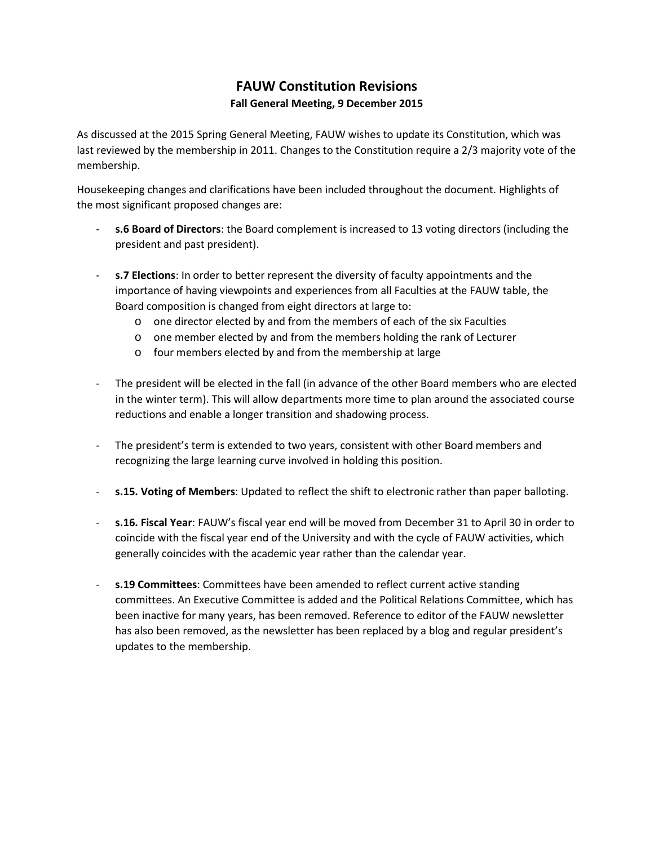# **FAUW Constitution Revisions Fall General Meeting, 9 December 2015**

<span id="page-12-0"></span>As discussed at the 2015 Spring General Meeting, FAUW wishes to update its Constitution, which was last reviewed by the membership in 2011. Changes to the Constitution require a 2/3 majority vote of the membership.

Housekeeping changes and clarifications have been included throughout the document. Highlights of the most significant proposed changes are:

- **s.6 Board of Directors**: the Board complement is increased to 13 voting directors (including the president and past president).
- **s.7 Elections**: In order to better represent the diversity of faculty appointments and the importance of having viewpoints and experiences from all Faculties at the FAUW table, the Board composition is changed from eight directors at large to:
	- o one director elected by and from the members of each of the six Faculties
	- o one member elected by and from the members holding the rank of Lecturer
	- o four members elected by and from the membership at large
- The president will be elected in the fall (in advance of the other Board members who are elected in the winter term). This will allow departments more time to plan around the associated course reductions and enable a longer transition and shadowing process.
- The president's term is extended to two years, consistent with other Board members and recognizing the large learning curve involved in holding this position.
- **s.15. Voting of Members**: Updated to reflect the shift to electronic rather than paper balloting.
- **s.16. Fiscal Year**: FAUW's fiscal year end will be moved from December 31 to April 30 in order to coincide with the fiscal year end of the University and with the cycle of FAUW activities, which generally coincides with the academic year rather than the calendar year.
- **s.19 Committees**: Committees have been amended to reflect current active standing committees. An Executive Committee is added and the Political Relations Committee, which has been inactive for many years, has been removed. Reference to editor of the FAUW newsletter has also been removed, as the newsletter has been replaced by a blog and regular president's updates to the membership.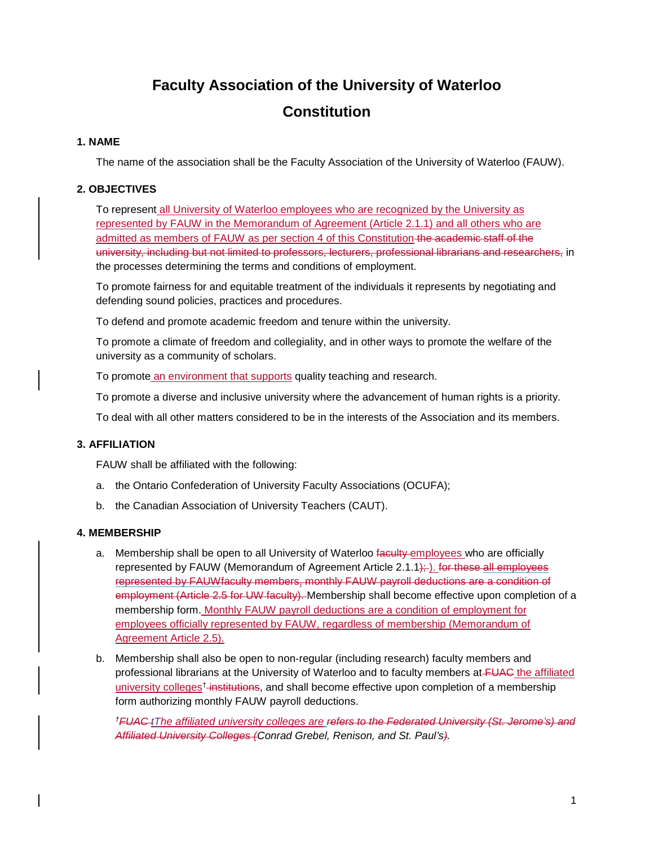# **Faculty Association of the University of Waterloo Constitution**

## **1. NAME**

The name of the association shall be the Faculty Association of the University of Waterloo (FAUW).

# **2. OBJECTIVES**

To represent all University of Waterloo employees who are recognized by the University as represented by FAUW in the Memorandum of Agreement (Article 2.1.1) and all others who are admitted as members of FAUW as per section 4 of this Constitution the academic staff of the university, including but not limited to professors, lecturers, professional librarians and researchers, in the processes determining the terms and conditions of employment.

To promote fairness for and equitable treatment of the individuals it represents by negotiating and defending sound policies, practices and procedures.

To defend and promote academic freedom and tenure within the university.

To promote a climate of freedom and collegiality, and in other ways to promote the welfare of the university as a community of scholars.

To promote an environment that supports quality teaching and research.

To promote a diverse and inclusive university where the advancement of human rights is a priority.

To deal with all other matters considered to be in the interests of the Association and its members.

### **3. AFFILIATION**

FAUW shall be affiliated with the following:

- a. the Ontario Confederation of University Faculty Associations (OCUFA);
- b. the Canadian Association of University Teachers (CAUT).

### **4. MEMBERSHIP**

- a. Membership shall be open to all University of Waterloo faculty employees who are officially represented by FAUW (Memorandum of Agreement Article  $2.1.1$ ); for these all employees represented by FAUWfaculty members, monthly FAUW payroll deductions are a condition of employment (Article 2.5 for UW faculty). Membership shall become effective upon completion of a membership form. Monthly FAUW payroll deductions are a condition of employment for employees officially represented by FAUW, regardless of membership (Memorandum of Agreement Article 2.5).
- b. Membership shall also be open to non‐regular (including research) faculty members and professional librarians at the University of Waterloo and to faculty members at FUAC the affiliated university colleges<sup>†</sup> institutions, and shall become effective upon completion of a membership form authorizing monthly FAUW payroll deductions.

*†FUAC tThe affiliated university colleges are refers to the Federated University (St. Jerome's) and Affiliated University Colleges (Conrad Grebel, Renison, and St. Paul's).*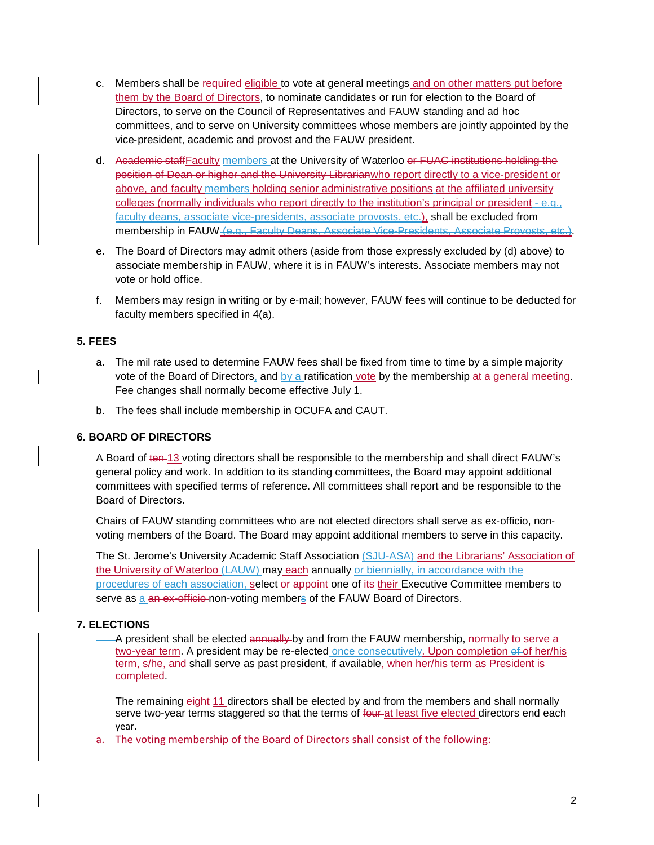- c. Members shall be required eligible to vote at general meetings and on other matters put before them by the Board of Directors, to nominate candidates or run for election to the Board of Directors, to serve on the Council of Representatives and FAUW standing and ad hoc committees, and to serve on University committees whose members are jointly appointed by the vice‐president, academic and provost and the FAUW president.
- d. Academic staffFaculty members at the University of Waterloo or FUAC institutions holding the position of Dean or higher and the University Librarianwho report directly to a vice-president or above, and faculty members holding senior administrative positions at the affiliated university colleges (normally individuals who report directly to the institution's principal or president - e.g., faculty deans, associate vice-presidents, associate provosts, etc.), shall be excluded from membership in FAUW (e.g., Faculty Deans, Associate Vice-Presidents, Associate Provosts, etc.).
- e. The Board of Directors may admit others (aside from those expressly excluded by (d) above) to associate membership in FAUW, where it is in FAUW's interests. Associate members may not vote or hold office.
- f. Members may resign in writing or by e‐mail; however, FAUW fees will continue to be deducted for faculty members specified in 4(a).

# **5. FEES**

- a. The mil rate used to determine FAUW fees shall be fixed from time to time by a simple majority vote of the Board of Directors, and by a ratification vote by the membership at a general meeting. Fee changes shall normally become effective July 1.
- b. The fees shall include membership in OCUFA and CAUT.

### **6. BOARD OF DIRECTORS**

A Board of ten-13 voting directors shall be responsible to the membership and shall direct FAUW's general policy and work. In addition to its standing committees, the Board may appoint additional committees with specified terms of reference. All committees shall report and be responsible to the Board of Directors.

Chairs of FAUW standing committees who are not elected directors shall serve as ex‐officio, non‐ voting members of the Board. The Board may appoint additional members to serve in this capacity.

The St. Jerome's University Academic Staff Association (SJU-ASA) and the Librarians' Association of the University of Waterloo (LAUW) may each annually or biennially, in accordance with the procedures of each association, select or appoint one of its their Executive Committee members to serve as a an ex-officio-non-voting members of the FAUW Board of Directors.

# **7. ELECTIONS**

A president shall be elected annually by and from the FAUW membership, normally to serve a two-year term. A president may be re-elected once consecutively. Upon completion of of her/his term, s/he, and shall serve as past president, if available, when her/his term as President is completed.

-The remaining eight 11 directors shall be elected by and from the members and shall normally serve two-year terms staggered so that the terms of four-at least five elected directors end each year.

a. The voting membership of the Board of Directors shall consist of the following: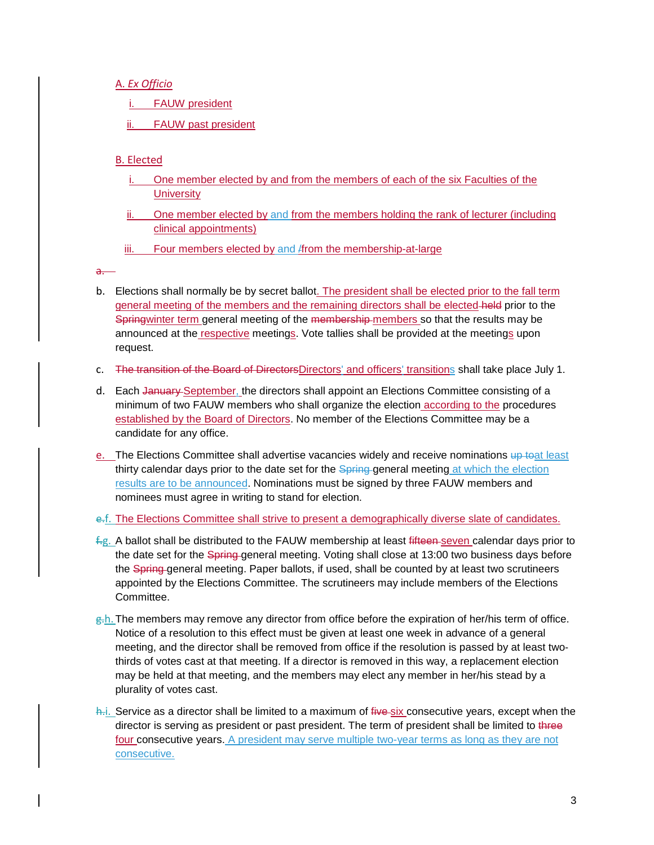A. *Ex Officio*

**FAUW president** 

FAUW past president

### B. Elected

- i. One member elected by and from the members of each of the six Faculties of the **University**
- ii. One member elected by and from the members holding the rank of lecturer (including clinical appointments)
- iii. Four members elected by and *f* from the membership-at-large

a.

- b. Elections shall normally be by secret ballot. The president shall be elected prior to the fall term general meeting of the members and the remaining directors shall be elected-held prior to the Springwinter term general meeting of the membership-members so that the results may be announced at the respective meetings. Vote tallies shall be provided at the meetings upon request.
- c. The transition of the Board of DirectorsDirectors' and officers' transitions shall take place July 1.
- d. Each January September, the directors shall appoint an Elections Committee consisting of a minimum of two FAUW members who shall organize the election according to the procedures established by the Board of Directors. No member of the Elections Committee may be a candidate for any office.
- e. The Elections Committee shall advertise vacancies widely and receive nominations up toat least thirty calendar days prior to the date set for the Spring general meeting at which the election results are to be announced. Nominations must be signed by three FAUW members and nominees must agree in writing to stand for election.
- e.f. The Elections Committee shall strive to present a demographically diverse slate of candidates.
- f.g. A ballot shall be distributed to the FAUW membership at least fifteen seven calendar days prior to the date set for the Spring general meeting. Voting shall close at 13:00 two business days before the Spring general meeting. Paper ballots, if used, shall be counted by at least two scrutineers appointed by the Elections Committee. The scrutineers may include members of the Elections Committee.
- g.h. The members may remove any director from office before the expiration of her/his term of office. Notice of a resolution to this effect must be given at least one week in advance of a general meeting, and the director shall be removed from office if the resolution is passed by at least twothirds of votes cast at that meeting. If a director is removed in this way, a replacement election may be held at that meeting, and the members may elect any member in her/his stead by a plurality of votes cast.
- $\frac{h}{i}$ . Service as a director shall be limited to a maximum of  $f$ ive-six consecutive years, except when the director is serving as president or past president. The term of president shall be limited to three four consecutive years. A president may serve multiple two-year terms as long as they are not consecutive.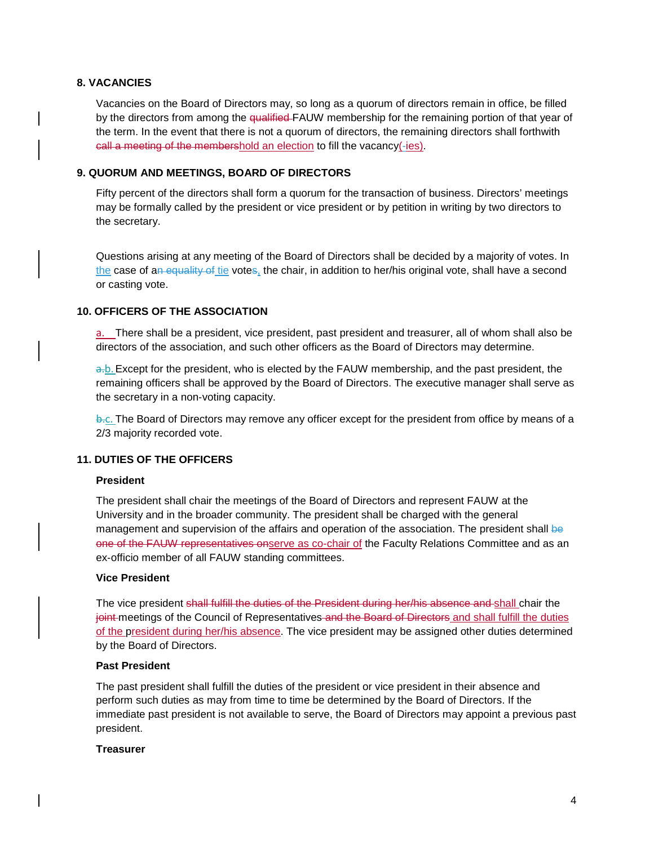### **8. VACANCIES**

Vacancies on the Board of Directors may, so long as a quorum of directors remain in office, be filled by the directors from among the qualified-FAUW membership for the remaining portion of that year of the term. In the event that there is not a quorum of directors, the remaining directors shall forthwith call a meeting of the membershold an election to fill the vacancy(-ies).

### **9. QUORUM AND MEETINGS, BOARD OF DIRECTORS**

Fifty percent of the directors shall form a quorum for the transaction of business. Directors' meetings may be formally called by the president or vice president or by petition in writing by two directors to the secretary.

Questions arising at any meeting of the Board of Directors shall be decided by a majority of votes. In the case of an equality of tie votes, the chair, in addition to her/his original vote, shall have a second or casting vote.

### **10. OFFICERS OF THE ASSOCIATION**

a. There shall be a president, vice president, past president and treasurer, all of whom shall also be directors of the association, and such other officers as the Board of Directors may determine.

a.b. Except for the president, who is elected by the FAUW membership, and the past president, the remaining officers shall be approved by the Board of Directors. The executive manager shall serve as the secretary in a non‐voting capacity.

b.c. The Board of Directors may remove any officer except for the president from office by means of a 2/3 majority recorded vote.

### **11. DUTIES OF THE OFFICERS**

### **President**

The president shall chair the meetings of the Board of Directors and represent FAUW at the University and in the broader community. The president shall be charged with the general management and supervision of the affairs and operation of the association. The president shall be one of the FAUW representatives onserve as co-chair of the Faculty Relations Committee and as an ex‐officio member of all FAUW standing committees.

### **Vice President**

The vice president shall fulfill the duties of the President during her/his absence and shall chair the joint meetings of the Council of Representatives and the Board of Directors and shall fulfill the duties of the president during her/his absence. The vice president may be assigned other duties determined by the Board of Directors.

### **Past President**

The past president shall fulfill the duties of the president or vice president in their absence and perform such duties as may from time to time be determined by the Board of Directors. If the immediate past president is not available to serve, the Board of Directors may appoint a previous past president.

### **Treasurer**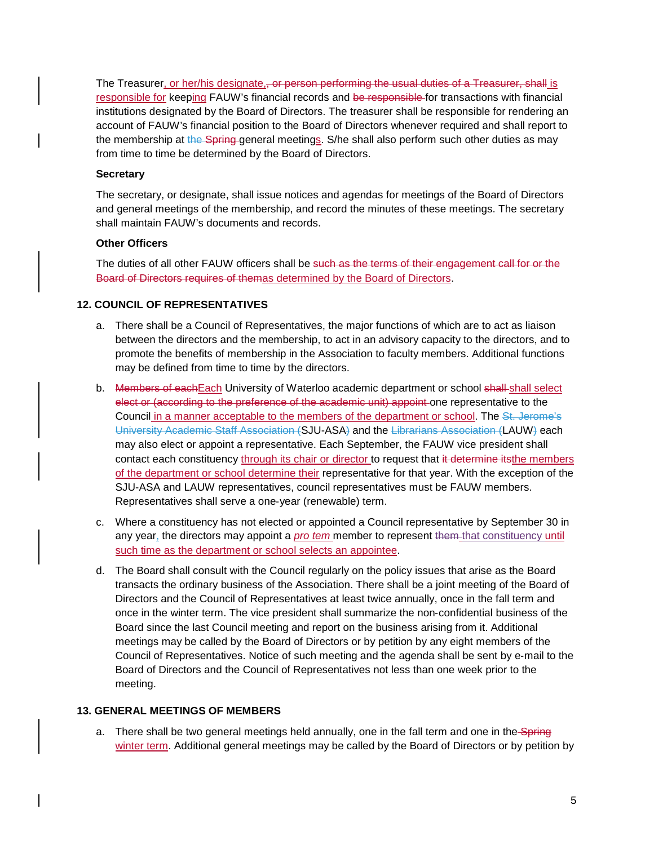The Treasurer, or her/his designate, or person performing the usual duties of a Treasurer, shall is responsible for keeping FAUW's financial records and be responsible for transactions with financial institutions designated by the Board of Directors. The treasurer shall be responsible for rendering an account of FAUW's financial position to the Board of Directors whenever required and shall report to the membership at the Spring general meetings. S/he shall also perform such other duties as may from time to time be determined by the Board of Directors.

### **Secretary**

The secretary, or designate, shall issue notices and agendas for meetings of the Board of Directors and general meetings of the membership, and record the minutes of these meetings. The secretary shall maintain FAUW's documents and records.

### **Other Officers**

The duties of all other FAUW officers shall be such as the terms of their engagement call for or the Board of Directors requires of themas determined by the Board of Directors.

### **12. COUNCIL OF REPRESENTATIVES**

- a. There shall be a Council of Representatives, the major functions of which are to act as liaison between the directors and the membership, to act in an advisory capacity to the directors, and to promote the benefits of membership in the Association to faculty members. Additional functions may be defined from time to time by the directors.
- b. Members of eachEach University of Waterloo academic department or school shall-shall select elect or (according to the preference of the academic unit) appoint one representative to the Council in a manner acceptable to the members of the department or school. The St. Jerome's University Academic Staff Association (SJU-ASA) and the Librarians Association (LAUW) each may also elect or appoint a representative. Each September, the FAUW vice president shall contact each constituency through its chair or director to request that it determine itsthe members of the department or school determine their representative for that year. With the exception of the SJU-ASA and LAUW representatives, council representatives must be FAUW members. Representatives shall serve a one‐year (renewable) term.
- c. Where a constituency has not elected or appointed a Council representative by September 30 in any year, the directors may appoint a *pro tem* member to represent them that constituency until such time as the department or school selects an appointee.
- d. The Board shall consult with the Council regularly on the policy issues that arise as the Board transacts the ordinary business of the Association. There shall be a joint meeting of the Board of Directors and the Council of Representatives at least twice annually, once in the fall term and once in the winter term. The vice president shall summarize the non‐confidential business of the Board since the last Council meeting and report on the business arising from it. Additional meetings may be called by the Board of Directors or by petition by any eight members of the Council of Representatives. Notice of such meeting and the agenda shall be sent by e‐mail to the Board of Directors and the Council of Representatives not less than one week prior to the meeting.

### **13. GENERAL MEETINGS OF MEMBERS**

a. There shall be two general meetings held annually, one in the fall term and one in the Spring winter term. Additional general meetings may be called by the Board of Directors or by petition by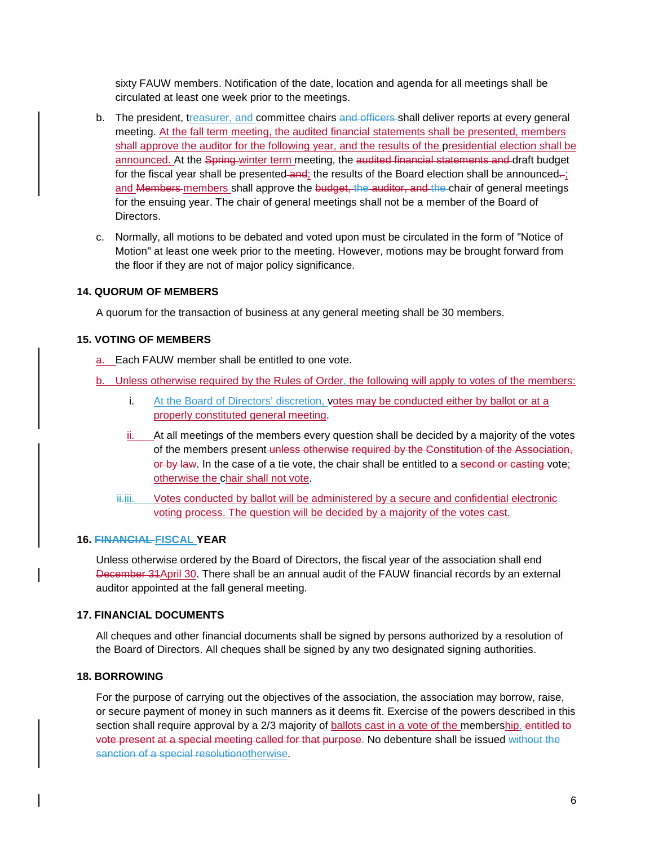sixty FAUW members. Notification of the date, location and agenda for all meetings shall be circulated at least one week prior to the meetings.

- b. The president, treasurer, and committee chairs and officers-shall deliver reports at every general meeting. At the fall term meeting, the audited financial statements shall be presented, members shall approve the auditor for the following year, and the results of the presidential election shall be announced. At the Spring winter term meeting, the audited financial statements and draft budget for the fiscal year shall be presented and; the results of the Board election shall be announced..; and Members members shall approve the budget, the auditor, and the chair of general meetings for the ensuing year. The chair of general meetings shall not be a member of the Board of Directors.
- c. Normally, all motions to be debated and voted upon must be circulated in the form of "Notice of Motion" at least one week prior to the meeting. However, motions may be brought forward from the floor if they are not of major policy significance.

### **14. QUORUM OF MEMBERS**

A quorum for the transaction of business at any general meeting shall be 30 members.

### **15. VOTING OF MEMBERS**

a. Each FAUW member shall be entitled to one vote.

- b. Unless otherwise required by the Rules of Order, the following will apply to votes of the members:
	- i. At the Board of Directors' discretion, votes may be conducted either by ballot or at a properly constituted general meeting.
	- ii. At all meetings of the members every question shall be decided by a majority of the votes of the members present unless otherwise required by the Constitution of the Association, or by law. In the case of a tie vote, the chair shall be entitled to a second or casting vote; otherwise the chair shall not vote.
	- ii.iii. Votes conducted by ballot will be administered by a secure and confidential electronic voting process. The question will be decided by a majority of the votes cast.

### **16. FINANCIAL FISCAL YEAR**

Unless otherwise ordered by the Board of Directors, the fiscal year of the association shall end December 31April 30. There shall be an annual audit of the FAUW financial records by an external auditor appointed at the fall general meeting.

### **17. FINANCIAL DOCUMENTS**

All cheques and other financial documents shall be signed by persons authorized by a resolution of the Board of Directors. All cheques shall be signed by any two designated signing authorities.

### **18. BORROWING**

For the purpose of carrying out the objectives of the association, the association may borrow, raise, or secure payment of money in such manners as it deems fit. Exercise of the powers described in this section shall require approval by a 2/3 majority of **ballots** cast in a vote of the membership. entitled to vote present at a special meeting called for that purpose. No debenture shall be issued without the sanction of a special resolutionotherwise.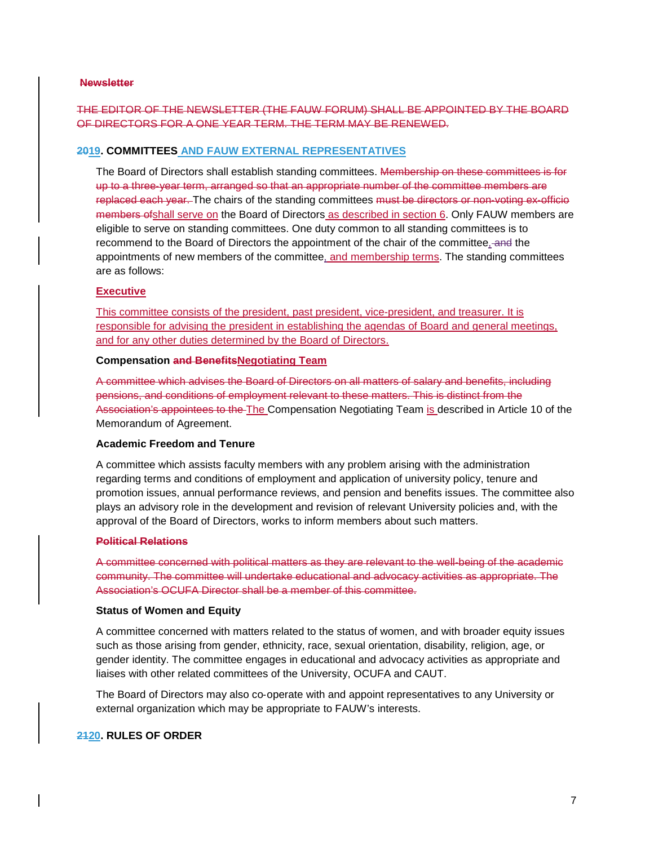### **Newsletter**

# THE EDITOR OF THE NEWSLETTER (THE FAUW FORUM) SHALL BE APPOINTED BY THE BOARD OF DIRECTORS FOR A ONE YEAR TERM. THE TERM MAY BE RENEWED.

### **2019. COMMITTEES AND FAUW EXTERNAL REPRESENTATIVES**

The Board of Directors shall establish standing committees. Membership on these committees is for up to a three‐year term, arranged so that an appropriate number of the committee members are replaced each year. The chairs of the standing committees must be directors or non-voting ex-officio members of shall serve on the Board of Directors as described in section 6. Only FAUW members are eligible to serve on standing committees. One duty common to all standing committees is to recommend to the Board of Directors the appointment of the chair of the committee, and the appointments of new members of the committee, and membership terms. The standing committees are as follows:

### **Executive**

This committee consists of the president, past president, vice-president, and treasurer. It is responsible for advising the president in establishing the agendas of Board and general meetings, and for any other duties determined by the Board of Directors.

### **Compensation and BenefitsNegotiating Team**

A committee which advises the Board of Directors on all matters of salary and benefits, including pensions, and conditions of employment relevant to these matters. This is distinct from the Association's appointees to the The Compensation Negotiating Team is described in Article 10 of the Memorandum of Agreement.

### **Academic Freedom and Tenure**

A committee which assists faculty members with any problem arising with the administration regarding terms and conditions of employment and application of university policy, tenure and promotion issues, annual performance reviews, and pension and benefits issues. The committee also plays an advisory role in the development and revision of relevant University policies and, with the approval of the Board of Directors, works to inform members about such matters.

#### **Political Relations**

A committee concerned with political matters as they are relevant to the well‐being of the academic community. The committee will undertake educational and advocacy activities as appropriate. The Association's OCUFA Director shall be a member of this committee.

### **Status of Women and Equity**

A committee concerned with matters related to the status of women, and with broader equity issues such as those arising from gender, ethnicity, race, sexual orientation, disability, religion, age, or gender identity. The committee engages in educational and advocacy activities as appropriate and liaises with other related committees of the University, OCUFA and CAUT.

The Board of Directors may also co‐operate with and appoint representatives to any University or external organization which may be appropriate to FAUW's interests.

### **2120. RULES OF ORDER**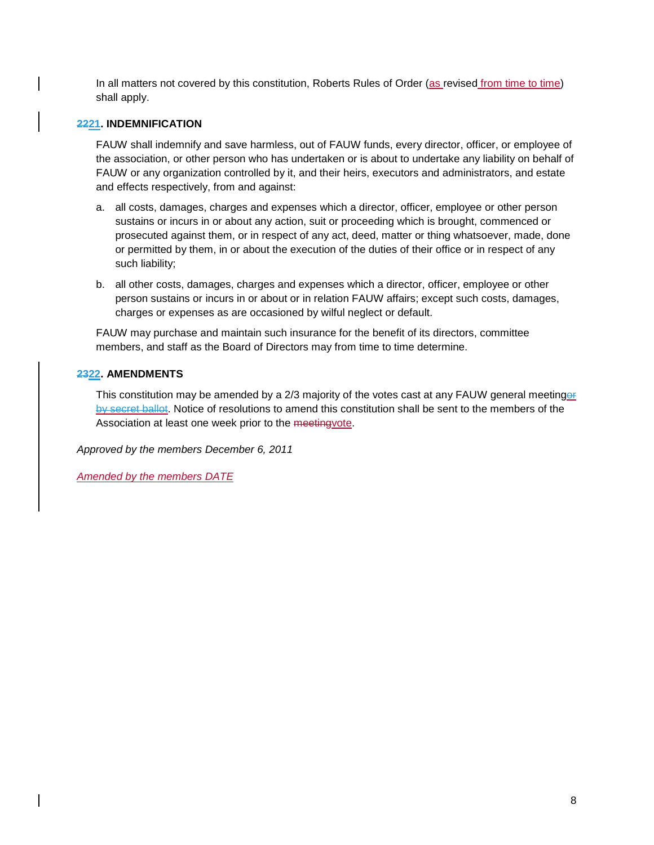In all matters not covered by this constitution, Roberts Rules of Order (as revised from time to time) shall apply.

### **2221. INDEMNIFICATION**

FAUW shall indemnify and save harmless, out of FAUW funds, every director, officer, or employee of the association, or other person who has undertaken or is about to undertake any liability on behalf of FAUW or any organization controlled by it, and their heirs, executors and administrators, and estate and effects respectively, from and against:

- a. all costs, damages, charges and expenses which a director, officer, employee or other person sustains or incurs in or about any action, suit or proceeding which is brought, commenced or prosecuted against them, or in respect of any act, deed, matter or thing whatsoever, made, done or permitted by them, in or about the execution of the duties of their office or in respect of any such liability;
- b. all other costs, damages, charges and expenses which a director, officer, employee or other person sustains or incurs in or about or in relation FAUW affairs; except such costs, damages, charges or expenses as are occasioned by wilful neglect or default.

FAUW may purchase and maintain such insurance for the benefit of its directors, committee members, and staff as the Board of Directors may from time to time determine.

### **2322. AMENDMENTS**

This constitution may be amended by a 2/3 majority of the votes cast at any FAUW general meetinger by secret ballot. Notice of resolutions to amend this constitution shall be sent to the members of the Association at least one week prior to the meetingvote.

*Approved by the members December 6, 2011*

*Amended by the members DATE*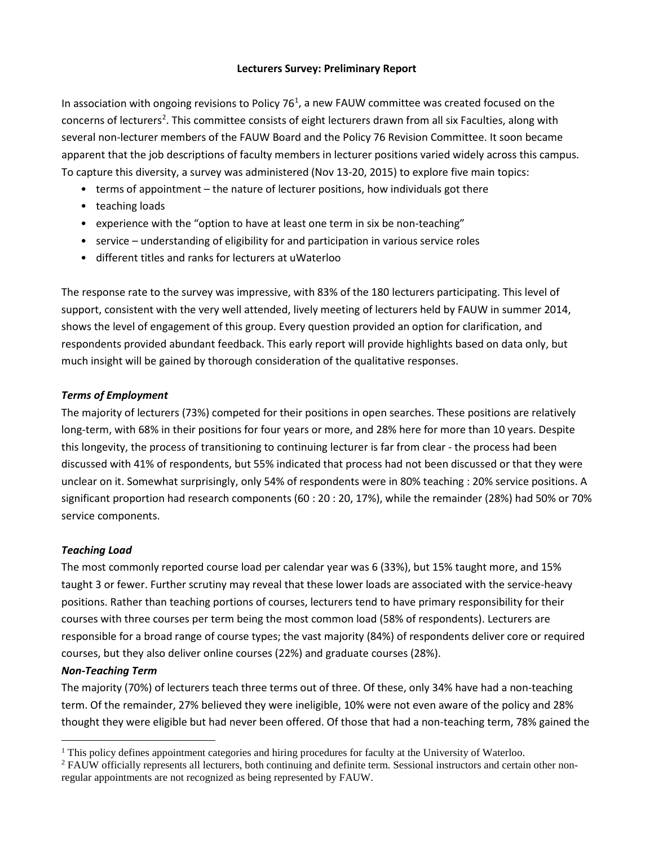## **Lecturers Survey: Preliminary Report**

<span id="page-21-0"></span>In association with ongoing revisions to Policy 76<sup>[1](#page-21-1)</sup>, a new FAUW committee was created focused on the concerns of lecturers<sup>[2](#page-21-2)</sup>. This committee consists of eight lecturers drawn from all six Faculties, along with several non-lecturer members of the FAUW Board and the Policy 76 Revision Committee. It soon became apparent that the job descriptions of faculty members in lecturer positions varied widely across this campus. To capture this diversity, a survey was administered (Nov 13-20, 2015) to explore five main topics:

- terms of appointment the nature of lecturer positions, how individuals got there
- teaching loads
- experience with the "option to have at least one term in six be non-teaching"
- service understanding of eligibility for and participation in various service roles
- different titles and ranks for lecturers at uWaterloo

The response rate to the survey was impressive, with 83% of the 180 lecturers participating. This level of support, consistent with the very well attended, lively meeting of lecturers held by FAUW in summer 2014, shows the level of engagement of this group. Every question provided an option for clarification, and respondents provided abundant feedback. This early report will provide highlights based on data only, but much insight will be gained by thorough consideration of the qualitative responses.

# *Terms of Employment*

The majority of lecturers (73%) competed for their positions in open searches. These positions are relatively long-term, with 68% in their positions for four years or more, and 28% here for more than 10 years. Despite this longevity, the process of transitioning to continuing lecturer is far from clear - the process had been discussed with 41% of respondents, but 55% indicated that process had not been discussed or that they were unclear on it. Somewhat surprisingly, only 54% of respondents were in 80% teaching : 20% service positions. A significant proportion had research components (60 : 20 : 20, 17%), while the remainder (28%) had 50% or 70% service components.

### *Teaching Load*

The most commonly reported course load per calendar year was 6 (33%), but 15% taught more, and 15% taught 3 or fewer. Further scrutiny may reveal that these lower loads are associated with the service-heavy positions. Rather than teaching portions of courses, lecturers tend to have primary responsibility for their courses with three courses per term being the most common load (58% of respondents). Lecturers are responsible for a broad range of course types; the vast majority (84%) of respondents deliver core or required courses, but they also deliver online courses (22%) and graduate courses (28%).

### *Non-Teaching Term*

The majority (70%) of lecturers teach three terms out of three. Of these, only 34% have had a non-teaching term. Of the remainder, 27% believed they were ineligible, 10% were not even aware of the policy and 28% thought they were eligible but had never been offered. Of those that had a non-teaching term, 78% gained the

<span id="page-21-1"></span> $1$  This policy defines appointment categories and hiring procedures for faculty at the University of Waterloo.

<span id="page-21-2"></span><sup>2</sup> FAUW officially represents all lecturers, both continuing and definite term. Sessional instructors and certain other nonregular appointments are not recognized as being represented by FAUW.